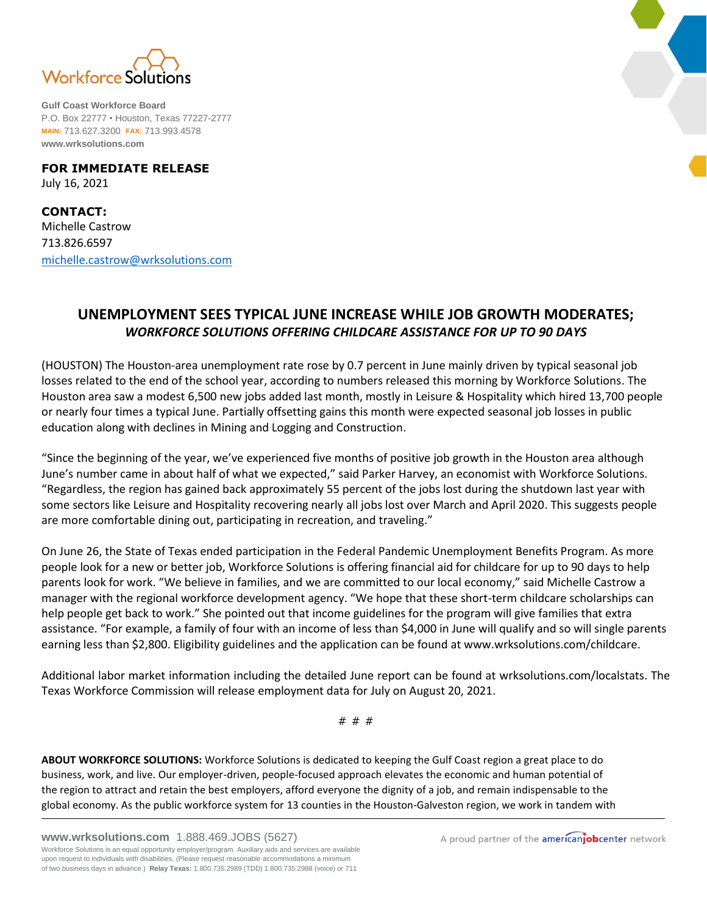

**Gulf Coast Workforce Board** P.O. Box 22777 • Houston, Texas 77227-2777 **MAIN:** 713.627.3200 **FAX:** 713.993.4578 **www.wrksolutions.com**

**FOR IMMEDIATE RELEASE** July 16, 2021

**CONTACT:** Michelle Castrow 713.826.6597 [michelle.castrow@wrksolutions.com](mailto:michelle.castrow@wrksolutions.com)

## **UNEMPLOYMENT SEES TYPICAL JUNE INCREASE WHILE JOB GROWTH MODERATES;** *WORKFORCE SOLUTIONS OFFERING CHILDCARE ASSISTANCE FOR UP TO 90 DAYS*

(HOUSTON) The Houston-area unemployment rate rose by 0.7 percent in June mainly driven by typical seasonal job losses related to the end of the school year, according to numbers released this morning by Workforce Solutions. The Houston area saw a modest 6,500 new jobs added last month, mostly in Leisure & Hospitality which hired 13,700 people or nearly four times a typical June. Partially offsetting gains this month were expected seasonal job losses in public education along with declines in Mining and Logging and Construction.

"Since the beginning of the year, we've experienced five months of positive job growth in the Houston area although June's number came in about half of what we expected," said Parker Harvey, an economist with Workforce Solutions. "Regardless, the region has gained back approximately 55 percent of the jobs lost during the shutdown last year with some sectors like Leisure and Hospitality recovering nearly all jobs lost over March and April 2020. This suggests people are more comfortable dining out, participating in recreation, and traveling."

On June 26, the State of Texas ended participation in the Federal Pandemic Unemployment Benefits Program. As more people look for a new or better job, Workforce Solutions is offering financial aid for childcare for up to 90 days to help parents look for work. "We believe in families, and we are committed to our local economy," said Michelle Castrow a manager with the regional workforce development agency. "We hope that these short-term childcare scholarships can help people get back to work." She pointed out that income guidelines for the program will give families that extra assistance. "For example, a family of four with an income of less than \$4,000 in June will qualify and so will single parents earning less than \$2,800. Eligibility guidelines and the application can be found at www.wrksolutions.com/childcare.

Additional labor market information including the detailed June report can be found at wrksolutions.com/localstats. The Texas Workforce Commission will release employment data for July on August 20, 2021.

# # #

**ABOUT WORKFORCE SOLUTIONS:** Workforce Solutions is dedicated to keeping the Gulf Coast region a great place to do business, work, and live. Our employer-driven, people-focused approach elevates the economic and human potential of the region to attract and retain the best employers, afford everyone the dignity of a job, and remain indispensable to the global economy. As the public workforce system for 13 counties in the Houston-Galveston region, we work in tandem with